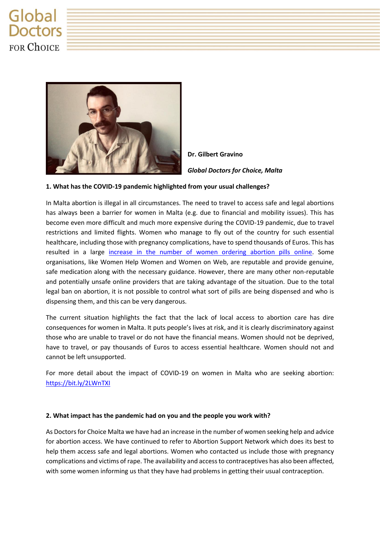## Global **Doctors FOR ChOICE**



**Dr. Gilbert Gravino** *Global Doctors for Choice, Malta*

## **1. What has the COVID-19 pandemic highlighted from your usual challenges?**

In Malta abortion is illegal in all circumstances. The need to travel to access safe and legal abortions has always been a barrier for women in Malta (e.g. due to financial and mobility issues). This has become even more difficult and much more expensive during the COVID-19 pandemic, due to travel restrictions and limited flights. Women who manage to fly out of the country for such essential healthcare, including those with pregnancy complications, have to spend thousands of Euros. This has resulted in a large [increase in the number of women ordering abortion pills online.](https://bit.ly/2WZHDAb) Some organisations, like Women Help Women and Women on Web, are reputable and provide genuine, safe medication along with the necessary guidance. However, there are many other non-reputable and potentially unsafe online providers that are taking advantage of the situation. Due to the total legal ban on abortion, it is not possible to control what sort of pills are being dispensed and who is dispensing them, and this can be very dangerous.

The current situation highlights the fact that the lack of local access to abortion care has dire consequences for women in Malta. It puts people's lives at risk, and it is clearly discriminatory against those who are unable to travel or do not have the financial means. Women should not be deprived, have to travel, or pay thousands of Euros to access essential healthcare. Women should not and cannot be left unsupported.

For more detail about the impact of COVID-19 on women in Malta who are seeking abortion: [https://bit.ly/2LWnTXI](https://www.doctorsforchoice.mt/post/impact-of-covid-19-on-women-in-malta-seeking-abortion-an-overview)

## **2. What impact has the pandemic had on you and the people you work with?**

As Doctors for Choice Malta we have had an increase in the number of women seeking help and advice for abortion access. We have continued to refer to Abortion Support Network which does its best to help them access safe and legal abortions. Women who contacted us include those with pregnancy complications and victims of rape. The availability and access to contraceptives has also been affected, with some women informing us that they have had problems in getting their usual contraception.